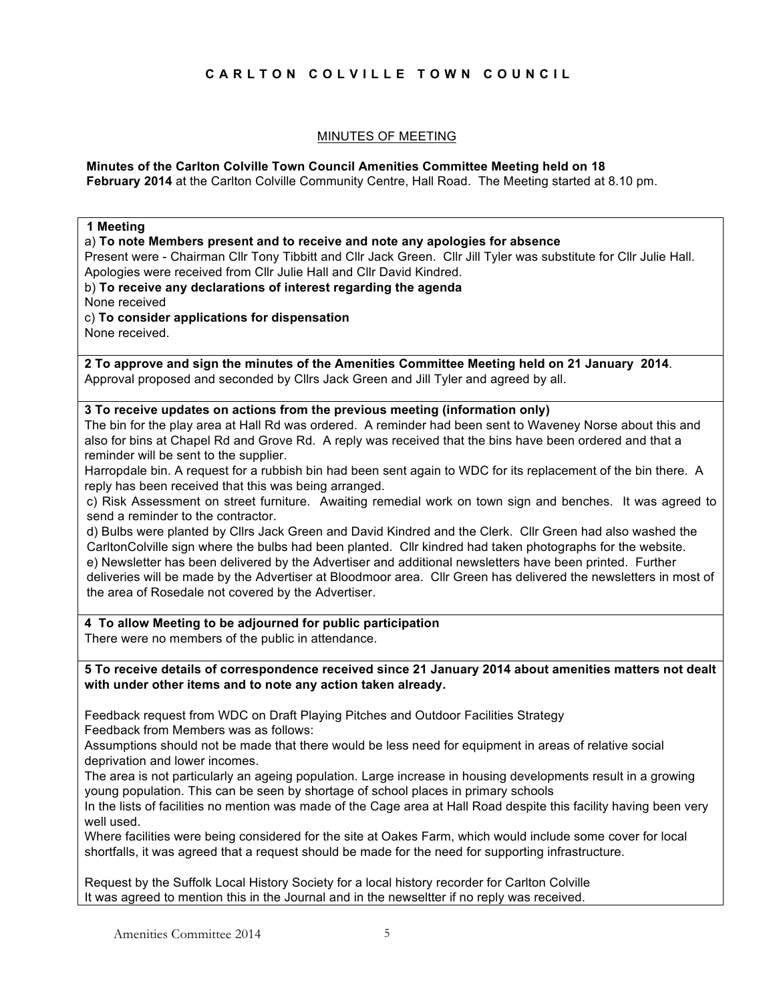# **CARLTON COLVILLE TOWN COUNCIL**

#### MINUTES OF MEETING

#### **Minutes of the Carlton Colville Town Council Amenities Committee Meeting held on 18 February 2014** at the Carlton Colville Community Centre, Hall Road. The Meeting started at 8.10 pm.

# **1 Meeting** a) **To note Members present and to receive and note any apologies for absence**  Present were - Chairman Cllr Tony Tibbitt and Cllr Jack Green. Cllr Jill Tyler was substitute for Cllr Julie Hall. Apologies were received from Cllr Julie Hall and Cllr David Kindred. b) **To receive any declarations of interest regarding the agenda** None received c) **To consider applications for dispensation** None received. **2 To approve and sign the minutes of the Amenities Committee Meeting held on 21 January 2014**. Approval proposed and seconded by Cllrs Jack Green and Jill Tyler and agreed by all. **3 To receive updates on actions from the previous meeting (information only)** The bin for the play area at Hall Rd was ordered. A reminder had been sent to Waveney Norse about this and also for bins at Chapel Rd and Grove Rd. A reply was received that the bins have been ordered and that a reminder will be sent to the supplier. Harropdale bin. A request for a rubbish bin had been sent again to WDC for its replacement of the bin there. A reply has been received that this was being arranged. c) Risk Assessment on street furniture. Awaiting remedial work on town sign and benches. It was agreed to send a reminder to the contractor. d) Bulbs were planted by Cllrs Jack Green and David Kindred and the Clerk. Cllr Green had also washed the CarltonColville sign where the bulbs had been planted. Cllr kindred had taken photographs for the website. e) Newsletter has been delivered by the Advertiser and additional newsletters have been printed. Further deliveries will be made by the Advertiser at Bloodmoor area. Cllr Green has delivered the newsletters in most of the area of Rosedale not covered by the Advertiser. **4 To allow Meeting to be adjourned for public participation** There were no members of the public in attendance. **5 To receive details of correspondence received since 21 January 2014 about amenities matters not dealt with under other items and to note any action taken already.** Feedback request from WDC on Draft Playing Pitches and Outdoor Facilities Strategy Feedback from Members was as follows: Assumptions should not be made that there would be less need for equipment in areas of relative social deprivation and lower incomes.

The area is not particularly an ageing population. Large increase in housing developments result in a growing young population. This can be seen by shortage of school places in primary schools

In the lists of facilities no mention was made of the Cage area at Hall Road despite this facility having been very well used.

Where facilities were being considered for the site at Oakes Farm, which would include some cover for local shortfalls, it was agreed that a request should be made for the need for supporting infrastructure.

Request by the Suffolk Local History Society for a local history recorder for Carlton Colville It was agreed to mention this in the Journal and in the newseltter if no reply was received.